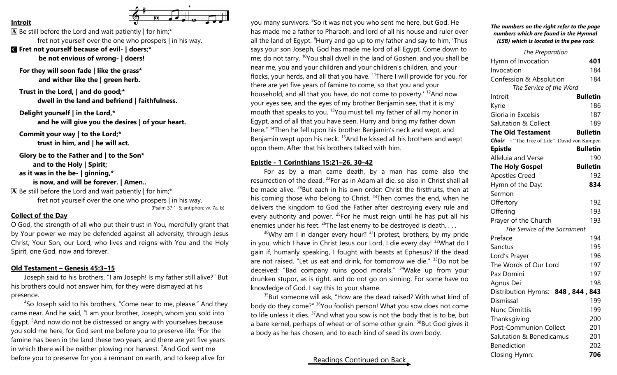#### **Introit**



 $\mathbf{\overline{A}}$  Be still before the Lord and wait patiently | for him;\* fret not yourself over the one who prospers | in his way.

C **Fret not yourself because of evil- | doers;\* be not envious of wrong- | doers!**

**For they will soon fade | like the grass\* and wither like the | green herb.**

**Trust in the Lord, | and do good;\* dwell in the land and befriend | faithfulness.**

**Delight yourself | in the Lord,\* and he will give you the desires | of your heart.**

**Commit your way | to the Lord;\* trust in him, and | he will act.**

**Glory be to the Father and | to the Son\***

**and to the Holy | Spirit;**

**as it was in the be- | ginning,\***

## **is now, and will be forever. | Amen..**

 $\mathbf{\overline{A}}$  Be still before the Lord and wait patiently | for him;\*

fret not yourself over the one who prospers | in his way.

(Psalm 37:1–5; antiphon: vv. 7a, b)

### **Collect of the Day**

O God, the strength of all who put their trust in You, mercifully grant that by Your power we may be defended against all adversity; through Jesus Christ, Your Son, our Lord, who lives and reigns with You and the Holy Spirit, one God, now and forever.

### **Old Testament – Genesis 45:3–15**

Joseph said to his brothers, "I am Joseph! Is my father still alive?" But his brothers could not answer him, for they were dismayed at his presence.

<sup>4</sup>So Joseph said to his brothers, "Come near to me, please." And they came near. And he said, "I am your brother, Joseph, whom you sold into Egypt. <sup>5</sup>And now do not be distressed or angry with yourselves because you sold me here, for God sent me before you to preserve life. <sup>6</sup>For the famine has been in the land these two years, and there are yet five years in which there will be neither plowing nor harvest.  $7$ And God sent me before you to preserve for you a remnant on earth, and to keep alive for

you many survivors. <sup>8</sup>So it was not you who sent me here, but God. He has made me a father to Pharaoh, and lord of all his house and ruler over all the land of Eqypt. <sup>9</sup>Hurry and go up to my father and say to him, 'Thus says your son Joseph, God has made me lord of all Egypt. Come down to me; do not tarry. <sup>10</sup>You shall dwell in the land of Goshen, and you shall be near me, you and your children and your children's children, and your flocks, your herds, and all that you have. <sup>11</sup>There I will provide for you, for there are yet five years of famine to come, so that you and your household, and all that you have, do not come to poverty.<sup>' 12</sup>And now your eyes see, and the eyes of my brother Benjamin see, that it is my mouth that speaks to you. <sup>13</sup> You must tell my father of all my honor in Egypt, and of all that you have seen. Hurry and bring my father down here." <sup>14</sup>Then he fell upon his brother Benjamin's neck and wept, and Benjamin wept upon his neck.<sup>15</sup>And he kissed all his brothers and wept upon them. After that his brothers talked with him.

### **Epistle - 1 Corinthians 15:21–26, 30–42**

For as by a man came death, by a man has come also the resurrection of the dead. <sup>22</sup>For as in Adam all die, so also in Christ shall all be made alive.  $^{23}$ But each in his own order: Christ the firstfruits, then at his coming those who belong to Christ. <sup>24</sup>Then comes the end, when he delivers the kingdom to God the Father after destroying every rule and every authority and power.  $25$  For he must reign until he has put all his enemies under his feet. <sup>26</sup>The last enemy to be destroyed is death...

 $30$ Why am I in danger every hour?  $31$  protest, brothers, by my pride in you, which I have in Christ Jesus our Lord, I die every day! <sup>32</sup>What do I gain if, humanly speaking, I fought with beasts at Ephesus? If the dead are not raised, "Let us eat and drink, for tomorrow we die." <sup>33</sup>Do not be deceived: "Bad company ruins good morals." <sup>34</sup>Wake up from your drunken stupor, as is right, and do not go on sinning. For some have no knowledge of God. I say this to your shame.

 $35$ But someone will ask, "How are the dead raised? With what kind of body do they come?" <sup>36</sup>You foolish person! What you sow does not come to life unless it dies. <sup>37</sup>And what you sow is not the body that is to be, but a bare kernel, perhaps of wheat or of some other grain. <sup>38</sup>But God gives it a body as he has chosen, and to each kind of seed its own body.

# Readings Continued on Back

*The numbers on the right refer to the page numbers which are found in the Hymnal (LSB) which is located in the pew rack*

| The Preparation                             |                 |
|---------------------------------------------|-----------------|
| Hymn of Invocation                          | 401             |
| Invocation                                  | 184             |
| <b>Confession &amp; Absolution</b>          | 184             |
| The Service of the Word                     |                 |
| Introit                                     | <b>Bulletin</b> |
| Kyrie                                       | 186             |
| Gloria in Excelsis                          | 187             |
| <b>Salutation &amp; Collect</b>             | 189             |
| <b>The Old Testament</b>                    | <b>Bulletin</b> |
| Choir - "The Tree of Life" David von Kampen |                 |
| <b>Epistle</b>                              | <b>Bulletin</b> |
| Alleluia and Verse                          | 190             |
| <b>The Holy Gospel</b>                      | <b>Bulletin</b> |
| <b>Apostles Creed</b>                       | 192             |
| Hymn of the Day:                            | 834             |
| Sermon                                      |                 |
| Offertory                                   | 192             |
| Offering                                    | 193             |
| Prayer of the Church                        | 193             |
| The Service of the Sacrament                |                 |
| Preface                                     | 194             |
| Sanctus                                     | 195             |
| Lord's Prayer                               | 196             |
| The Words of Our Lord                       | 197             |
| Pax Domini                                  | 197             |
| Agnus Dei                                   | 198             |
| Distribution Hymns: 848, 844,               | 843             |
| Dismissal                                   | 199             |
| <b>Nunc Dimittis</b>                        | 199             |
| Thanksgiving                                | 200             |
| Post-Communion Collect                      | 201             |
| Salutation & Benedicamus                    | 201             |
| <b>Benediction</b>                          | 202             |
| <b>Closing Hymn:</b>                        | 706             |